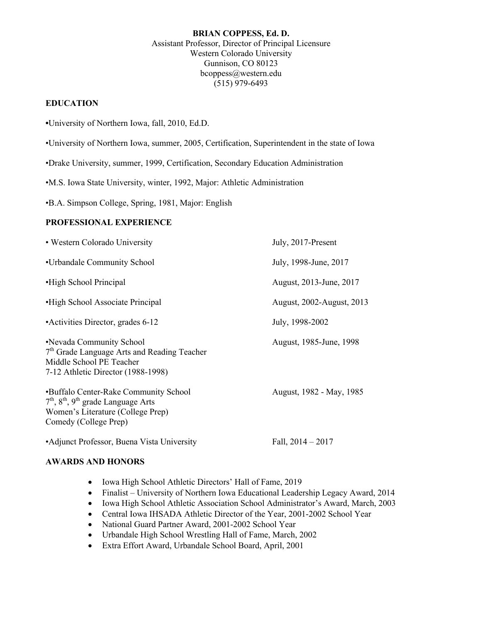#### **BRIAN COPPESS, Ed. D.**  Assistant Professor, Director of Principal Licensure Western Colorado University Gunnison, CO 80123 [bcoppess@western.edu](mailto:bcoppess@western.edu)  (515) 979-6493

### **EDUCATION**

- **•**University of Northern Iowa, fall, 2010, Ed.D.
- •University of Northern Iowa, summer, 2005, Certification, Superintendent in the state of Iowa
- •Drake University, summer, 1999, Certification, Secondary Education Administration
- •M.S. Iowa State University, winter, 1992, Major: Athletic Administration
- •B.A. Simpson College, Spring, 1981, Major: English

### **PROFESSIONAL EXPERIENCE**

| • Western Colorado University                                                                                                                         | July, 2017-Present        |
|-------------------------------------------------------------------------------------------------------------------------------------------------------|---------------------------|
| •Urbandale Community School                                                                                                                           | July, 1998-June, 2017     |
| •High School Principal                                                                                                                                | August, 2013-June, 2017   |
| •High School Associate Principal                                                                                                                      | August, 2002-August, 2013 |
| • Activities Director, grades 6-12                                                                                                                    | July, 1998-2002           |
| •Nevada Community School<br>7 <sup>th</sup> Grade Language Arts and Reading Teacher<br>Middle School PE Teacher<br>7-12 Athletic Director (1988-1998) | August, 1985-June, 1998   |
| •Buffalo Center-Rake Community School<br>$7th$ , $8th$ , $9th$ grade Language Arts<br>Women's Literature (College Prep)<br>Comedy (College Prep)      | August, 1982 - May, 1985  |
| • Adjunct Professor, Buena Vista University                                                                                                           | Fall, $2014 - 2017$       |

#### **AWARDS AND HONORS**

- Iowa High School Athletic Directors' Hall of Fame, 2019
- Finalist University of Northern Iowa Educational Leadership Legacy Award, 2014
- Iowa High School Athletic Association School Administrator's Award, March, 2003
- Central Iowa IHSADA Athletic Director of the Year, 2001-2002 School Year
- National Guard Partner Award, 2001-2002 School Year
- Urbandale High School Wrestling Hall of Fame, March, 2002
- Extra Effort Award, Urbandale School Board, April, 2001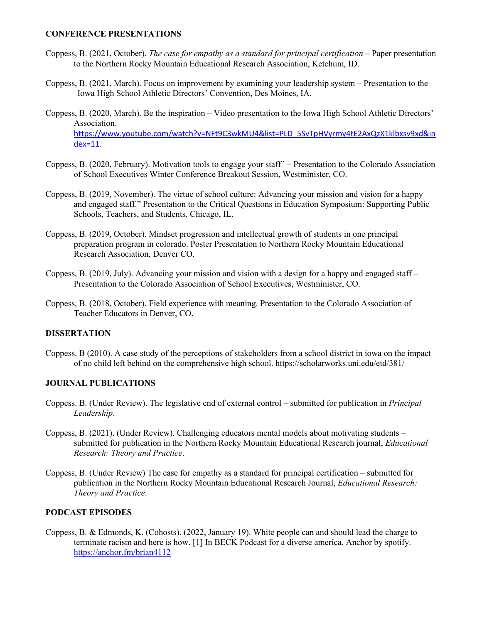#### **CONFERENCE PRESENTATIONS**

- Coppess, B. (2021, October). *The case for empathy as a standard for principal certification* Paper presentation to the Northern Rocky Mountain Educational Research Association, Ketchum, ID.
- Coppess, B. (2021, March). Focus on improvement by examining your leadership system Presentation to the Iowa High School Athletic Directors' Convention, Des Moines, IA.
- Coppess, B. (2020, March). Be the inspiration Video presentation to the Iowa High School Athletic Directors' Association. [https://www.youtube.com/watch?v=NFt9C3wkMU4&list=PLD\\_5SvTpHVyrmy4tE2AxQzX1klbxsv9xd&in](https://www.youtube.com/watch?v=NFt9C3wkMU4&list=PLD_5SvTpHVyrmy4tE2AxQzX1klbxsv9xd&in)  dex=11.
- Coppess, B. (2020, February). Motivation tools to engage your staff" Presentation to the Colorado Association of School Executives Winter Conference Breakout Session, Westminister, CO.
- Coppess, B. (2019, November). The virtue of school culture: Advancing your mission and vision for a happy Schools, Teachers, and Students, Chicago, IL. and engaged staff." Presentation to the Critical Questions in Education Symposium: Supporting Public
- Coppess, B. (2019, October). Mindset progression and intellectual growth of students in one principal preparation program in colorado. Poster Presentation to Northern Rocky Mountain Educational Research Association, Denver CO.
- Coppess, B. (2019, July). Advancing your mission and vision with a design for a happy and engaged staff Presentation to the Colorado Association of School Executives, Westminister, CO.
- Coppess, B. (2018, October). Field experience with meaning. Presentation to the Colorado Association of Teacher Educators in Denver, CO.

### **DISSERTATION**

 Coppess. B (2010). A case study of the perceptions of stakeholders from a school district in iowa on the impact of no child left behind on the comprehensive high school. [https://scholarworks.uni.edu/etd/381/](https://scholarworks.uni.edu/etd/381)

### **JOURNAL PUBLICATIONS**

- Coppess. B. (Under Review). The legislative end of external control submitted for publication in *Principal Leadership*.
- *Research: Theory and Practice*. Coppess, B. (2021). (Under Review). Challenging educators mental models about motivating students – submitted for publication in the Northern Rocky Mountain Educational Research journal, *Educational*
- Coppess, B. (Under Review) The case for empathy as a standard for principal certification submitted for  publication in the Northern Rocky Mountain Educational Research Journal, *Educational Research: Theory and Practice*.

### **PODCAST EPISODES**

 Coppess, B. & Edmonds, K. (Cohosts). (2022, January 19). White people can and should lead the charge to terminate racism and here is how. [1] In BECK Podcast for a diverse america. Anchor by spotify. <https://anchor.fm/brian4112>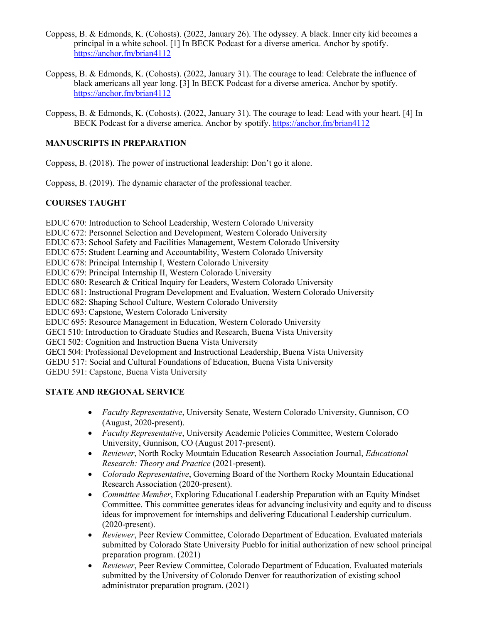- Coppess, B. & Edmonds, K. (Cohosts). (2022, January 26). The odyssey. A black. Inner city kid becomes a principal in a white school. [1] In BECK Podcast for a diverse america. Anchor by spotify. <https://anchor.fm/brian4112>
- Coppess, B. & Edmonds, K. (Cohosts). (2022, January 31). The courage to lead: Celebrate the influence of black americans all year long. [3] In BECK Podcast for a diverse america. Anchor by spotify. <https://anchor.fm/brian4112>
- Coppess, B. & Edmonds, K. (Cohosts). (2022, January 31). The courage to lead: Lead with your heart. [4] In BECK Podcast for a diverse america. Anchor by spotify. https://anchor.fm/brian4112

## **MANUSCRIPTS IN PREPARATION**

Coppess, B. (2018). The power of instructional leadership: Don't go it alone.

Coppess, B. (2019). The dynamic character of the professional teacher.

## **COURSES TAUGHT**

 EDUC 672: Personnel Selection and Development, Western Colorado University EDUC 673: School Safety and Facilities Management, Western Colorado University EDUC 680: Research & Critical Inquiry for Leaders, Western Colorado University EDUC 695: Resource Management in Education, Western Colorado University GECI 502: Cognition and Instruction Buena Vista University GEDU 517: Social and Cultural Foundations of Education, Buena Vista University EDUC 670: Introduction to School Leadership, Western Colorado University EDUC 675: Student Learning and Accountability, Western Colorado University EDUC 678: Principal Internship I, Western Colorado University EDUC 679: Principal Internship II, Western Colorado University EDUC 681: Instructional Program Development and Evaluation, Western Colorado University EDUC 682: Shaping School Culture, Western Colorado University EDUC 693: Capstone, Western Colorado University GECI 510: Introduction to Graduate Studies and Research, Buena Vista University GECI 504: Professional Development and Instructional Leadership, Buena Vista University GEDU 591: Capstone, Buena Vista University

## **STATE AND REGIONAL SERVICE**

- *Faculty Representative*, University Senate, Western Colorado University, Gunnison, CO (August, 2020-present).
- University, Gunnison, CO (August 2017-present). • *Faculty Representative*, University Academic Policies Committee, Western Colorado
- • *Reviewer*, North Rocky Mountain Education Research Association Journal, *Educational Research: Theory and Practice* (2021-present).
- • *Colorado Representative*, Governing Board of the Northern Rocky Mountain Educational Research Association (2020-present).
- • *Committee Member*, Exploring Educational Leadership Preparation with an Equity Mindset Committee. This committee generates ideas for advancing inclusivity and equity and to discuss ideas for improvement for internships and delivering Educational Leadership curriculum. (2020-present).
- • *Reviewer*, Peer Review Committee, Colorado Department of Education. Evaluated materials submitted by Colorado State University Pueblo for initial authorization of new school principal preparation program. (2021)
- • *Reviewer*, Peer Review Committee, Colorado Department of Education. Evaluated materials administrator preparation program. (2021) submitted by the University of Colorado Denver for reauthorization of existing school